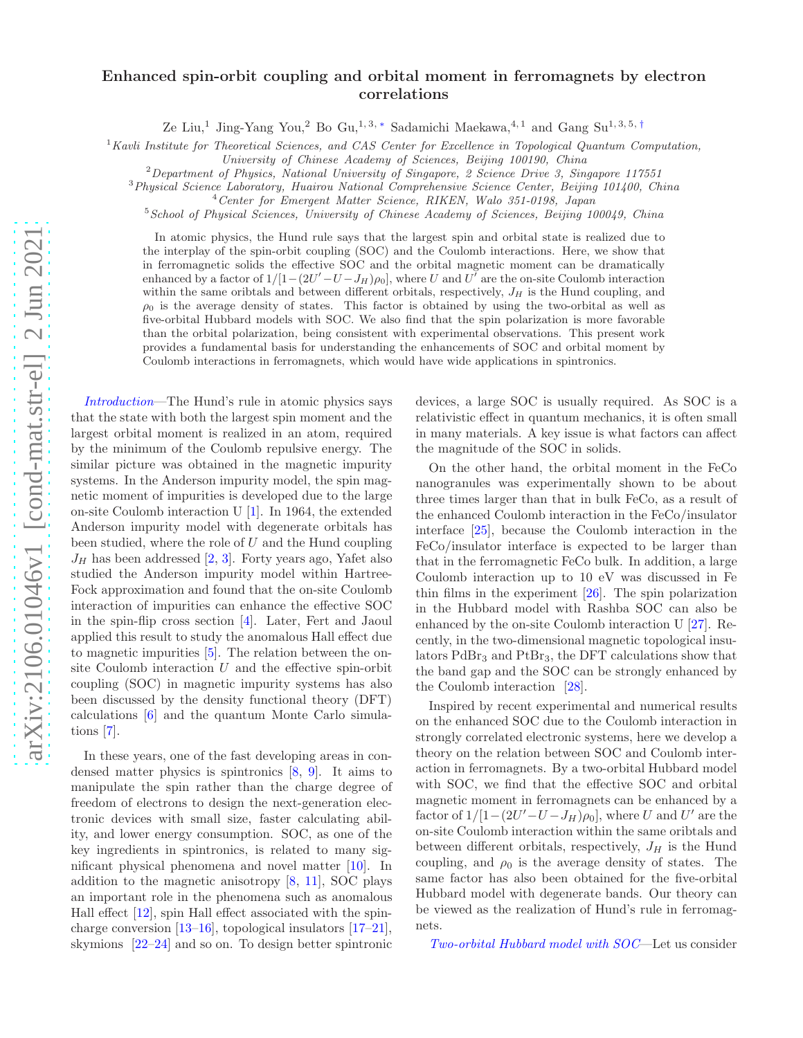## Enhanced spin-orbit coupling and orbital moment in ferromagnets by electron correlations

Ze Liu,<sup>1</sup> Jing-Yang You,<sup>2</sup> Bo Gu,<sup>1,3,\*</sup> Sadamichi Maekawa,<sup>4,1</sup> and Gang Su<sup>1,3,5,[†](#page-4-1)</sup>

 ${}^{1}$ Kavli Institute for Theoretical Sciences, and CAS Center for Excellence in Topological Quantum Computation,

University of Chinese Academy of Sciences, Beijing 100190, China

 $2$  Department of Physics, National University of Singapore, 2 Science Drive 3, Singapore 117551

<sup>3</sup>Physical Science Laboratory, Huairou National Comprehensive Science Center, Beijing 101400, China

<sup>4</sup>Center for Emergent Matter Science, RIKEN, Walo 351-0198, Japan

 $5$ School of Physical Sciences, University of Chinese Academy of Sciences, Beijing 100049, China

In atomic physics, the Hund rule says that the largest spin and orbital state is realized due to the interplay of the spin-orbit coupling (SOC) and the Coulomb interactions. Here, we show that in ferromagnetic solids the effective SOC and the orbital magnetic moment can be dramatically enhanced by a factor of  $1/[1-(2U'-U-J_H)\rho_0]$ , where U and  $U^{\dagger}$  are the on-site Coulomb interaction within the same oribtals and between different orbitals, respectively,  $J_H$  is the Hund coupling, and  $\rho_0$  is the average density of states. This factor is obtained by using the two-orbital as well as five-orbital Hubbard models with SOC. We also find that the spin polarization is more favorable than the orbital polarization, being consistent with experimental observations. This present work provides a fundamental basis for understanding the enhancements of SOC and orbital moment by Coulomb interactions in ferromagnets, which would have wide applications in spintronics.

Introduction—The Hund's rule in atomic physics says that the state with both the largest spin moment and the largest orbital moment is realized in an atom, required by the minimum of the Coulomb repulsive energy. The similar picture was obtained in the magnetic impurity systems. In the Anderson impurity model, the spin magnetic moment of impurities is developed due to the large on-site Coulomb interaction U [\[1\]](#page-4-2). In 1964, the extended Anderson impurity model with degenerate orbitals has been studied, where the role of  $U$  and the Hund coupling  $J_H$  has been addressed [\[2,](#page-4-3) [3](#page-4-4)]. Forty years ago, Yafet also studied the Anderson impurity model within Hartree-Fock approximation and found that the on-site Coulomb interaction of impurities can enhance the effective SOC in the spin-flip cross section [\[4\]](#page-4-5). Later, Fert and Jaoul applied this result to study the anomalous Hall effect due to magnetic impurities [\[5](#page-4-6)]. The relation between the onsite Coulomb interaction  $U$  and the effective spin-orbit coupling (SOC) in magnetic impurity systems has also been discussed by the density functional theory (DFT) calculations [\[6](#page-4-7)] and the quantum Monte Carlo simulations [\[7](#page-4-8)].

In these years, one of the fast developing areas in condensed matter physics is spintronics [\[8,](#page-4-9) [9](#page-4-10)]. It aims to manipulate the spin rather than the charge degree of freedom of electrons to design the next-generation electronic devices with small size, faster calculating ability, and lower energy consumption. SOC, as one of the key ingredients in spintronics, is related to many significant physical phenomena and novel matter [\[10\]](#page-4-11). In addition to the magnetic anisotropy [\[8,](#page-4-9) [11\]](#page-4-12), SOC plays an important role in the phenomena such as anomalous Hall effect  $[12]$ , spin Hall effect associated with the spincharge conversion [\[13](#page-4-14)[–16](#page-4-15)], topological insulators [\[17](#page-4-16)[–21\]](#page-4-17), skymions [\[22](#page-4-18)[–24\]](#page-4-19) and so on. To design better spintronic

devices, a large SOC is usually required. As SOC is a relativistic effect in quantum mechanics, it is often small in many materials. A key issue is what factors can affect the magnitude of the SOC in solids.

On the other hand, the orbital moment in the FeCo nanogranules was experimentally shown to be about three times larger than that in bulk FeCo, as a result of the enhanced Coulomb interaction in the FeCo/insulator interface [\[25\]](#page-4-20), because the Coulomb interaction in the FeCo/insulator interface is expected to be larger than that in the ferromagnetic FeCo bulk. In addition, a large Coulomb interaction up to 10 eV was discussed in Fe thin films in the experiment [\[26\]](#page-4-21). The spin polarization in the Hubbard model with Rashba SOC can also be enhanced by the on-site Coulomb interaction U [\[27](#page-4-22)]. Recently, in the two-dimensional magnetic topological insulators  $PdBr<sub>3</sub>$  and  $PtBr<sub>3</sub>$ , the DFT calculations show that the band gap and the SOC can be strongly enhanced by the Coulomb interaction [\[28\]](#page-4-23).

Inspired by recent experimental and numerical results on the enhanced SOC due to the Coulomb interaction in strongly correlated electronic systems, here we develop a theory on the relation between SOC and Coulomb interaction in ferromagnets. By a two-orbital Hubbard model with SOC, we find that the effective SOC and orbital magnetic moment in ferromagnets can be enhanced by a factor of  $1/[1-(2U'-U-J_H)\rho_0]$ , where U and U' are the on-site Coulomb interaction within the same oribtals and between different orbitals, respectively,  $J_H$  is the Hund coupling, and  $\rho_0$  is the average density of states. The same factor has also been obtained for the five-orbital Hubbard model with degenerate bands. Our theory can be viewed as the realization of Hund's rule in ferromagnets.

Two-orbital Hubbard model with SOC—Let us consider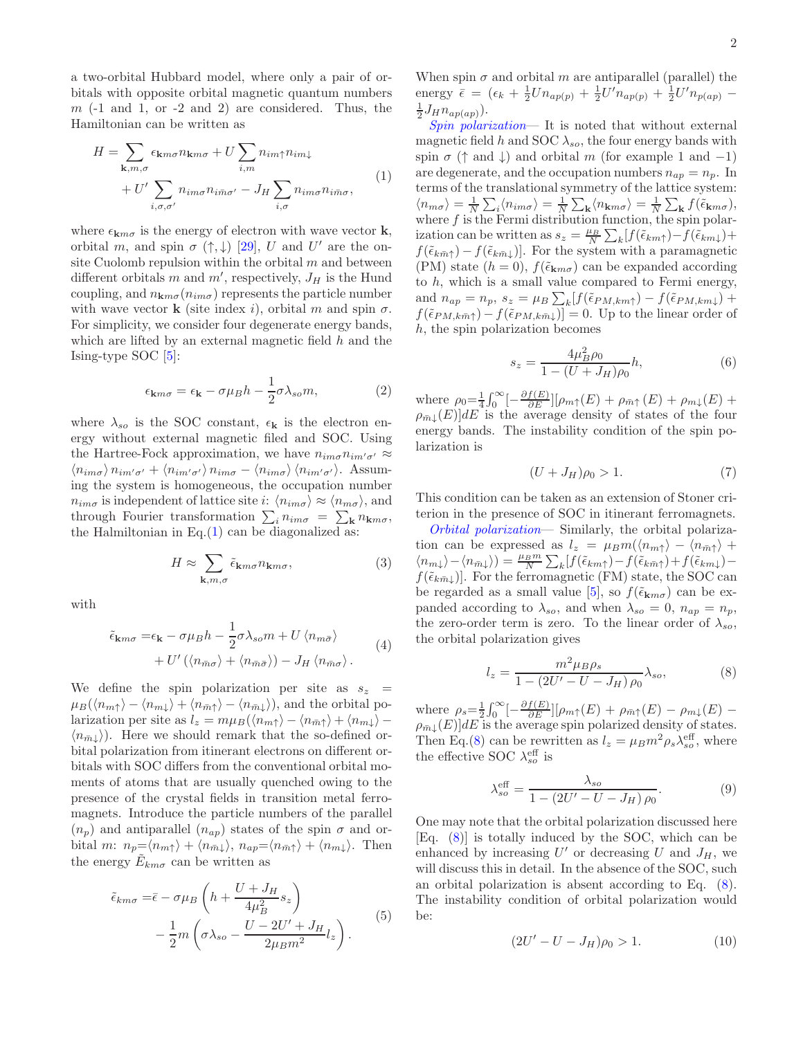a two-orbital Hubbard model, where only a pair of orbitals with opposite orbital magnetic quantum numbers  $m$  (-1 and 1, or -2 and 2) are considered. Thus, the Hamiltonian can be written as

<span id="page-1-0"></span>
$$
H = \sum_{\mathbf{k}, m, \sigma} \epsilon_{\mathbf{k}m\sigma} n_{\mathbf{k}m\sigma} + U \sum_{i,m} n_{im\uparrow} n_{im\downarrow}
$$
  
+ 
$$
U' \sum_{i, \sigma, \sigma'} n_{im\sigma} n_{im\sigma'} - J_H \sum_{i, \sigma} n_{im\sigma} n_{im\sigma},
$$
 (1)

where  $\epsilon_{\mathbf{k}m\sigma}$  is the energy of electron with wave vector **k**, orbital m, and spin  $\sigma$  ( $\uparrow, \downarrow$ ) [\[29\]](#page-4-24), U and U' are the onsite Cuolomb repulsion within the orbital  $m$  and between different orbitals m and  $m'$ , respectively,  $J_H$  is the Hund coupling, and  $n_{\mathbf{k}m\sigma}(n_{im\sigma})$  represents the particle number with wave vector **k** (site index i), orbital m and spin  $\sigma$ . For simplicity, we consider four degenerate energy bands, which are lifted by an external magnetic field  $h$  and the Ising-type SOC [\[5](#page-4-6)]:

$$
\epsilon_{\mathbf{k}m\sigma} = \epsilon_{\mathbf{k}} - \sigma\mu_B h - \frac{1}{2}\sigma\lambda_{so} m,\tag{2}
$$

where  $\lambda_{so}$  is the SOC constant,  $\epsilon_{\mathbf{k}}$  is the electron energy without external magnetic filed and SOC. Using the Hartree-Fock approximation, we have  $n_{im\sigma}n_{im'\sigma'} \approx$  $\langle n_{im\sigma} \rangle n_{im'\sigma'} + \langle n_{im'\sigma'} \rangle n_{im\sigma} - \langle n_{im\sigma} \rangle \langle n_{im'\sigma'} \rangle$ . Assuming the system is homogeneous, the occupation number  $n_{im\sigma}$  is independent of lattice site i:  $\langle n_{im\sigma} \rangle \approx \langle n_{m\sigma} \rangle$ , and through Fourier transformation  $\sum_i n_{im\sigma} = \sum_{\mathbf{k}} n_{\mathbf{k}m\sigma}$ , the Halmiltonian in Eq. $(1)$  can be diagonalized as:

$$
H \approx \sum_{\mathbf{k}, m, \sigma} \tilde{\epsilon}_{\mathbf{k}m\sigma} n_{\mathbf{k}m\sigma}, \tag{3}
$$

with

<span id="page-1-6"></span>
$$
\tilde{\epsilon}_{\mathbf{k}m\sigma} = \epsilon_{\mathbf{k}} - \sigma \mu_B h - \frac{1}{2} \sigma \lambda_{so} m + U \langle n_{m\bar{\sigma}} \rangle + U' (\langle n_{\bar{m}\sigma} \rangle + \langle n_{\bar{m}\bar{\sigma}} \rangle) - J_H \langle n_{\bar{m}\sigma} \rangle.
$$
\n(4)

We define the spin polarization per site as  $s_z$  =  $\mu_B(\langle n_{m\uparrow} \rangle - \langle n_{m\downarrow} \rangle + \langle n_{m\uparrow} \rangle - \langle n_{m\downarrow} \rangle)$ , and the orbital polarization per site as  $l_z = m\mu_B(\langle n_{m\uparrow} \rangle - \langle n_{\bar{m}\uparrow} \rangle + \langle n_{m\downarrow} \rangle \langle n_{\bar{m}} \rangle$ ). Here we should remark that the so-defined orbital polarization from itinerant electrons on different orbitals with SOC differs from the conventional orbital moments of atoms that are usually quenched owing to the presence of the crystal fields in transition metal ferromagnets. Introduce the particle numbers of the parallel  $(n_p)$  and antiparallel  $(n_{ap})$  states of the spin  $\sigma$  and orbital m:  $n_p = \langle n_{m\uparrow} \rangle + \langle n_{\bar{m}\downarrow} \rangle$ ,  $n_{ap} = \langle n_{\bar{m}\uparrow} \rangle + \langle n_{m\downarrow} \rangle$ . Then the energy  $\tilde{E}_{km\sigma}$  can be written as

$$
\tilde{\epsilon}_{km\sigma} = \bar{\epsilon} - \sigma \mu_B \left( h + \frac{U + J_H}{4\mu_B^2} s_z \right) \n- \frac{1}{2} m \left( \sigma \lambda_{so} - \frac{U - 2U' + J_H}{2\mu_B m^2} l_z \right).
$$
\n(5)

When spin  $\sigma$  and orbital m are antiparallel (parallel) the energy  $\bar{\epsilon} = (\epsilon_k + \frac{1}{2}Un_{ap(p)} + \frac{1}{2}U'n_{ap(p)} + \frac{1}{2}U'n_{p(ap)} \frac{1}{2}J_H n_{ap(ap)}$ ).

Spin polarization— It is noted that without external magnetic field h and SOC  $\lambda_{so}$ , the four energy bands with spin  $\sigma$  ( $\uparrow$  and  $\downarrow$ ) and orbital m (for example 1 and -1) are degenerate, and the occupation numbers  $n_{ap} = n_p$ . In terms of the translational symmetry of the lattice system:  $\langle n_{m\sigma} \rangle = \frac{1}{N} \sum_i \langle n_{im\sigma} \rangle = \frac{1}{N} \sum_{\mathbf{k}} \langle n_{\mathbf{k}m\sigma} \rangle = \frac{1}{N} \sum_{\mathbf{k}} f(\tilde{\epsilon}_{\mathbf{k}m\sigma}),$ where  $f$  is the Fermi distribution function, the spin polarization can be written as  $s_z = \frac{\mu_B}{N} \sum_k [f(\tilde{\epsilon}_{km\uparrow}) - f(\tilde{\epsilon}_{km\downarrow}) +$  $f(\tilde{\epsilon}_{k\bar{m}\uparrow}) - f(\tilde{\epsilon}_{k\bar{m}\downarrow})$ . For the system with a paramagnetic (PM) state  $(h = 0)$ ,  $f(\tilde{\epsilon}_{km\sigma})$  can be expanded according to  $h$ , which is a small value compared to Fermi energy, and  $n_{ap} = n_p$ ,  $s_z = \mu_B \sum_k [f(\tilde{\epsilon}_{PM,km\uparrow}) - f(\tilde{\epsilon}_{PM,km\downarrow}) +$  $f(\tilde{\epsilon}_{PM,k\bar{m}\uparrow}) - f(\tilde{\epsilon}_{PM,k\bar{m}\downarrow})] = 0.$  Up to the linear order of h, the spin polarization becomes

<span id="page-1-2"></span>
$$
s_z = \frac{4\mu_B^2 \rho_0}{1 - (U + J_H)\rho_0} h,\tag{6}
$$

where  $\rho_0 = \frac{1}{4} \int_0^\infty \left[ -\frac{\partial f(E)}{\partial E} \right] [\rho_{m\uparrow}(E) + \rho_{\bar{m}\uparrow}(E) + \rho_{m\downarrow}(E) + \rho_{\bar{m}\downarrow}(E) \right]$  $\rho_{m}(\mathbf{E})d\mathbf{E}$  is the average density of states of the four energy bands. The instability condition of the spin polarization is

<span id="page-1-3"></span>
$$
(U+J_H)\rho_0>1.\t(7)
$$

This condition can be taken as an extension of Stoner criterion in the presence of SOC in itinerant ferromagnets.

Orbital polarization— Similarly, the orbital polarization can be expressed as  $l_z = \mu_B m(\langle n_{m\uparrow} \rangle - \langle n_{\bar{m}\uparrow} \rangle +$  $\langle n_{m\downarrow}\rangle - \langle n_{\bar{m}\downarrow}\rangle) = \frac{\mu_B m}{N} \sum_k [f(\tilde{\epsilon}_{km\uparrow}) - f(\tilde{\epsilon}_{km\uparrow}) + f(\tilde{\epsilon}_{km\downarrow})$  $f(\tilde{\epsilon}_{k\bar{m}})$ ]. For the ferromagnetic (FM) state, the SOC can be regarded as a small value [\[5](#page-4-6)], so  $f(\tilde{\epsilon}_{\mathbf{k}m\sigma})$  can be expanded according to  $\lambda_{so}$ , and when  $\lambda_{so} = 0$ ,  $n_{ap} = n_p$ , the zero-order term is zero. To the linear order of  $\lambda_{so}$ , the orbital polarization gives

<span id="page-1-1"></span>
$$
l_z = \frac{m^2 \mu_B \rho_s}{1 - (2U' - U - J_H) \rho_0} \lambda_{so},
$$
 (8)

where  $\rho_s = \frac{1}{2} \int_0^\infty \left[ -\frac{\partial f(E)}{\partial E} \right] [\rho_{m\uparrow}(E) + \rho_{\bar{m}\uparrow}(E) - \rho_{m\downarrow}(E) - \rho_{\bar{m}\downarrow}(E) \right]$  $\rho_{m}\left( E\right) ]dE$  is the average spin polarized density of states. Then Eq.[\(8\)](#page-1-1) can be rewritten as  $l_z = \mu_B m^2 \rho_s \lambda_{so}^{\text{eff}}$ , where the effective SOC  $\lambda_{so}^{\text{eff}}$  is

<span id="page-1-5"></span>
$$
\lambda_{so}^{\text{eff}} = \frac{\lambda_{so}}{1 - (2U' - U - J_H)\,\rho_0}.\tag{9}
$$

One may note that the orbital polarization discussed here [Eq. [\(8\)](#page-1-1)] is totally induced by the SOC, which can be enhanced by increasing  $U'$  or decreasing U and  $J_H$ , we will discuss this in detail. In the absence of the SOC, such an orbital polarization is absent according to Eq. [\(8\)](#page-1-1). The instability condition of orbital polarization would be:

<span id="page-1-4"></span>
$$
(2U' - U - J_H)\rho_0 > 1.
$$
 (10)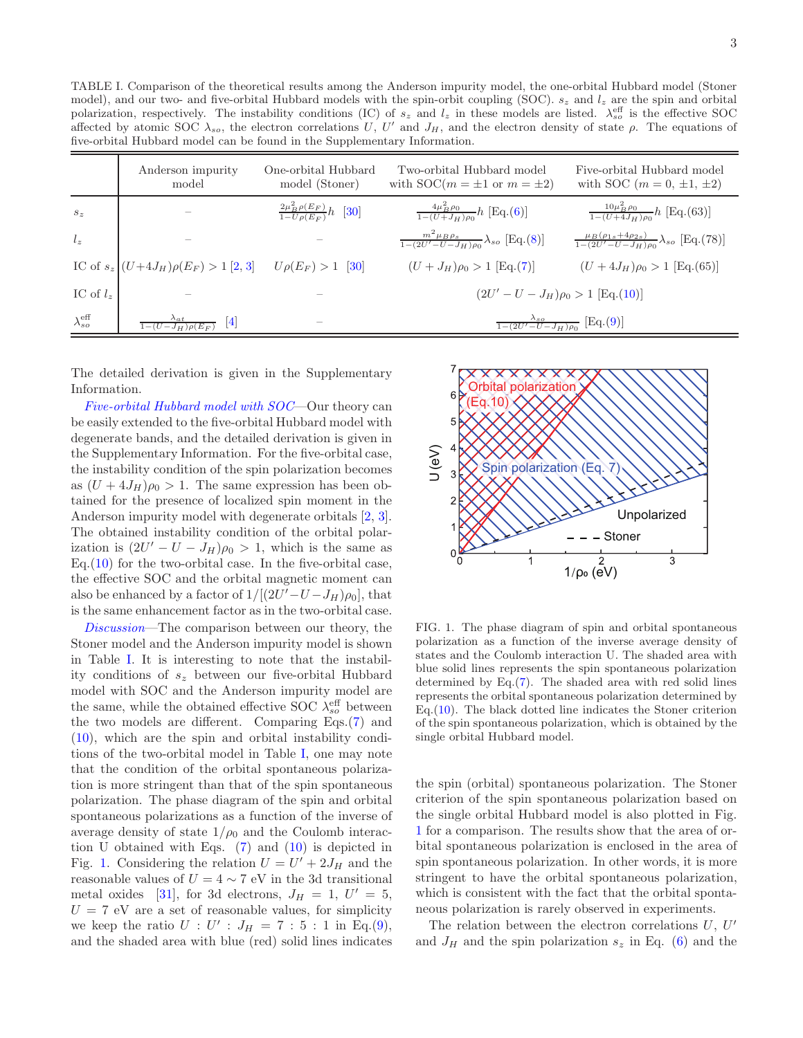<span id="page-2-0"></span>TABLE I. Comparison of the theoretical results among the Anderson impurity model, the one-orbital Hubbard model (Stoner model), and our two- and five-orbital Hubbard models with the spin-orbit coupling (SOC).  $s_z$  and  $l_z$  are the spin and orbital polarization, respectively. The instability conditions (IC) of  $s_z$  and  $l_z$  in these models are listed.  $\lambda_{so}^{\text{eff}}$  is the effective SOC affected by atomic SOC  $\lambda_{so}$ , the electron correlations U, U' and  $J_H$ , and the electron density of state  $\rho$ . The equations of five-orbital Hubbard model can be found in the Supplementary Information.

|                             | Anderson impurity<br>model                                       | One-orbital Hubbard<br>model (Stoner)           | Two-orbital Hubbard model<br>with $\text{SOC}(m = \pm 1 \text{ or } m = \pm 2)$ | Five-orbital Hubbard model<br>with SOC $(m = 0, \pm 1, \pm 2)$                  |
|-----------------------------|------------------------------------------------------------------|-------------------------------------------------|---------------------------------------------------------------------------------|---------------------------------------------------------------------------------|
| $S_z$                       |                                                                  | $\frac{2\mu_B^2 \rho(E_F)}{1-U\rho(E_F)}h$ [30] | $\frac{4\mu_B^2 \rho_0}{1-(U+J_H)\rho_0} h$ [Eq.(6)]                            | $\frac{10\mu_B^2 \rho_0}{1-(U+4J_H)\rho_0}h$ [Eq.(63)]                          |
| $l_z$                       |                                                                  |                                                 | $\frac{m^2 \mu_B \rho_s}{1-(2U'-U-J_H)\rho_0} \lambda_{so}$ [Eq.(8)]            | $\frac{\mu_B(\rho_{1s}+4\rho_{2s})}{1-(2U'-U-J_H)\rho_0}\lambda_{so}$ [Eq.(78)] |
|                             | IC of $s_z   (U+4J_H)\rho(E_F) > 1$ [2, 3] $U\rho(E_F) > 1$ [30] |                                                 | $(U+J_H)\rho_0 > 1$ [Eq.(7)]                                                    | $(U+4J_H)\rho_0 > 1$ [Eq.(65)]                                                  |
| IC of $l_z$                 |                                                                  |                                                 | $(2U'-U-J_H)\rho_0 > 1$ [Eq.(10)]                                               |                                                                                 |
| $\lambda_{so}^{\text{eff}}$ | $\lambda_{at}$<br>$[4]$<br>$1 - (U - J_H) \rho(E_F)$             |                                                 | $\frac{\lambda_{so}}{1-(2U'-U-J_H)\rho_0}$ [Eq.(9)]                             |                                                                                 |

The detailed derivation is given in the Supplementary Information.

Five-orbital Hubbard model with SOC—Our theory can be easily extended to the five-orbital Hubbard model with degenerate bands, and the detailed derivation is given in the Supplementary Information. For the five-orbital case, the instability condition of the spin polarization becomes as  $(U + 4J_H)\rho_0 > 1$ . The same expression has been obtained for the presence of localized spin moment in the Anderson impurity model with degenerate orbitals [\[2,](#page-4-3) [3\]](#page-4-4). The obtained instability condition of the orbital polarization is  $(2U' - U - J_H)\rho_0 > 1$ , which is the same as Eq. $(10)$  for the two-orbital case. In the five-orbital case, the effective SOC and the orbital magnetic moment can also be enhanced by a factor of  $1/[(2U'-U-J_H)\rho_0]$ , that is the same enhancement factor as in the two-orbital case.

Discussion—The comparison between our theory, the Stoner model and the Anderson impurity model is shown in Table [I.](#page-2-0) It is interesting to note that the instability conditions of  $s_z$  between our five-orbital Hubbard model with SOC and the Anderson impurity model are the same, while the obtained effective SOC  $\lambda_{so}^{\text{eff}}$  between the two models are different. Comparing Eqs.[\(7\)](#page-1-3) and [\(10\)](#page-1-4), which are the spin and orbital instability conditions of the two-orbital model in Table [I,](#page-2-0) one may note that the condition of the orbital spontaneous polarization is more stringent than that of the spin spontaneous polarization. The phase diagram of the spin and orbital spontaneous polarizations as a function of the inverse of average density of state  $1/\rho_0$  and the Coulomb interaction U obtained with Eqs.  $(7)$  and  $(10)$  is depicted in Fig. [1.](#page-2-1) Considering the relation  $U = U' + 2J_H$  and the reasonable values of  $U = 4 \sim 7$  eV in the 3d transitional metal oxides [\[31\]](#page-4-26), for 3d electrons,  $J_H = 1$ ,  $U' = 5$ ,  $U = 7$  eV are a set of reasonable values, for simplicity we keep the ratio  $U: U': J_H = 7: 5: 1$  in Eq.[\(9\)](#page-1-5), and the shaded area with blue (red) solid lines indicates



<span id="page-2-1"></span>FIG. 1. The phase diagram of spin and orbital spontaneous polarization as a function of the inverse average density of states and the Coulomb interaction U. The shaded area with blue solid lines represents the spin spontaneous polarization determined by Eq.[\(7\)](#page-1-3). The shaded area with red solid lines represents the orbital spontaneous polarization determined by Eq.[\(10\)](#page-1-4). The black dotted line indicates the Stoner criterion of the spin spontaneous polarization, which is obtained by the single orbital Hubbard model.

the spin (orbital) spontaneous polarization. The Stoner criterion of the spin spontaneous polarization based on the single orbital Hubbard model is also plotted in Fig. [1](#page-2-1) for a comparison. The results show that the area of orbital spontaneous polarization is enclosed in the area of spin spontaneous polarization. In other words, it is more stringent to have the orbital spontaneous polarization, which is consistent with the fact that the orbital spontaneous polarization is rarely observed in experiments.

The relation between the electron correlations  $U, U'$ and  $J_H$  and the spin polarization  $s_z$  in Eq. [\(6\)](#page-1-2) and the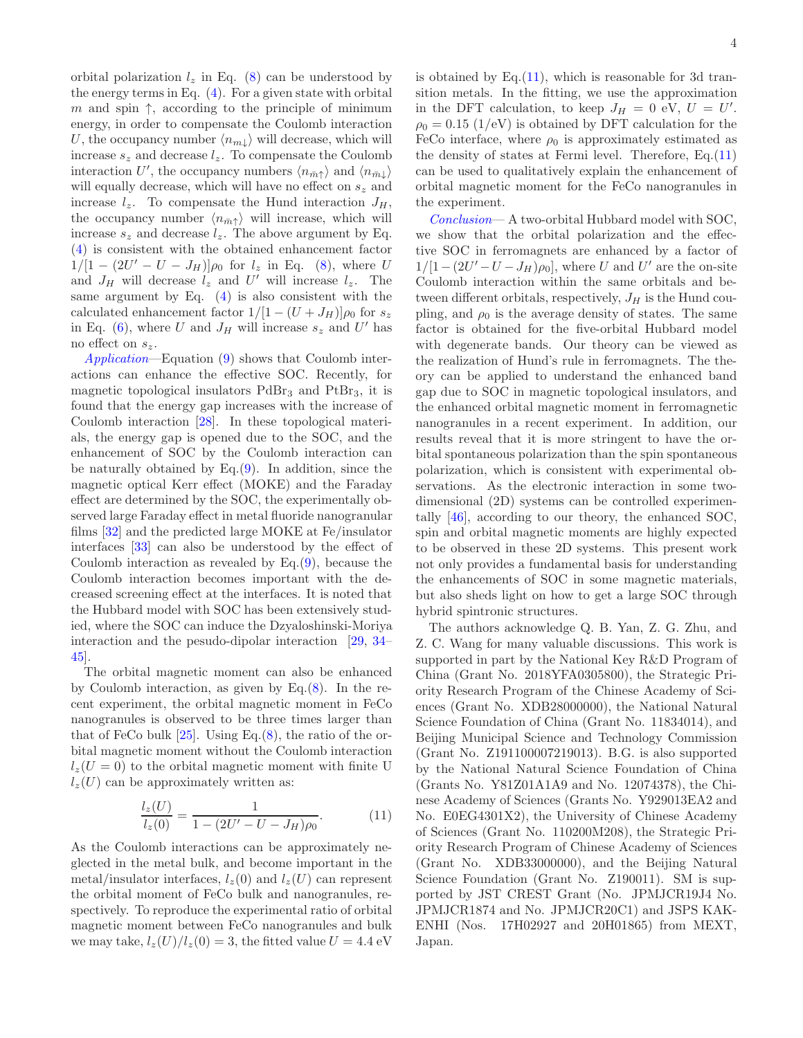orbital polarization  $l_z$  in Eq. [\(8\)](#page-1-1) can be understood by the energy terms in Eq.  $(4)$ . For a given state with orbital m and spin  $\uparrow$ , according to the principle of minimum energy, in order to compensate the Coulomb interaction U, the occupancy number  $\langle n_{m} \rangle$  will decrease, which will increase  $s_z$  and decrease  $l_z$ . To compensate the Coulomb interaction U', the occupancy numbers  $\langle n_{\bar{m}\uparrow} \rangle$  and  $\langle n_{\bar{m}\downarrow} \rangle$ will equally decrease, which will have no effect on  $s_z$  and increase  $l_z$ . To compensate the Hund interaction  $J_H$ , the occupancy number  $\langle n_{\overline{m}\uparrow} \rangle$  will increase, which will increase  $s_z$  and decrease  $l_z$ . The above argument by Eq. [\(4\)](#page-1-6) is consistent with the obtained enhancement factor  $1/[1 - (2U' - U - J_H)]\rho_0$  for  $l_z$  in Eq. [\(8\)](#page-1-1), where U and  $J_H$  will decrease  $l_z$  and U' will increase  $l_z$ . The same argument by Eq. [\(4\)](#page-1-6) is also consistent with the calculated enhancement factor  $1/[1-(U+J_H)]\rho_0$  for  $s_z$ in Eq. [\(6\)](#page-1-2), where U and  $J_H$  will increase  $s_z$  and U' has no effect on  $s_z$ .

Application—Equation [\(9\)](#page-1-5) shows that Coulomb interactions can enhance the effective SOC. Recently, for magnetic topological insulators  $PdBr_3$  and  $PtBr_3$ , it is found that the energy gap increases with the increase of Coulomb interaction [\[28\]](#page-4-23). In these topological materials, the energy gap is opened due to the SOC, and the enhancement of SOC by the Coulomb interaction can be naturally obtained by Eq.[\(9\)](#page-1-5). In addition, since the magnetic optical Kerr effect (MOKE) and the Faraday effect are determined by the SOC, the experimentally observed large Faraday effect in metal fluoride nanogranular films [\[32](#page-4-27)] and the predicted large MOKE at Fe/insulator interfaces [\[33\]](#page-4-28) can also be understood by the effect of Coulomb interaction as revealed by  $Eq.(9)$  $Eq.(9)$ , because the Coulomb interaction becomes important with the decreased screening effect at the interfaces. It is noted that the Hubbard model with SOC has been extensively studied, where the SOC can induce the Dzyaloshinski-Moriya interaction and the pesudo-dipolar interaction [\[29,](#page-4-24) [34](#page-4-29)– [45\]](#page-5-0).

The orbital magnetic moment can also be enhanced by Coulomb interaction, as given by Eq.[\(8\)](#page-1-1). In the recent experiment, the orbital magnetic moment in FeCo nanogranules is observed to be three times larger than that of FeCo bulk  $[25]$ . Using Eq. $(8)$ , the ratio of the orbital magnetic moment without the Coulomb interaction  $l_z(U=0)$  to the orbital magnetic moment with finite U  $l_z(U)$  can be approximately written as:

<span id="page-3-0"></span>
$$
\frac{l_z(U)}{l_z(0)} = \frac{1}{1 - (2U' - U - J_H)\rho_0}.
$$
 (11)

As the Coulomb interactions can be approximately neglected in the metal bulk, and become important in the metal/insulator interfaces,  $l_z(0)$  and  $l_z(U)$  can represent the orbital moment of FeCo bulk and nanogranules, respectively. To reproduce the experimental ratio of orbital magnetic moment between FeCo nanogranules and bulk we may take,  $l_z(U)/l_z(0) = 3$ , the fitted value  $U = 4.4$  eV is obtained by Eq. $(11)$ , which is reasonable for 3d transition metals. In the fitting, we use the approximation in the DFT calculation, to keep  $J_H = 0$  eV,  $U = U'$ .  $\rho_0 = 0.15$  (1/eV) is obtained by DFT calculation for the FeCo interface, where  $\rho_0$  is approximately estimated as the density of states at Fermi level. Therefore,  $Eq.(11)$  $Eq.(11)$ can be used to qualitatively explain the enhancement of orbital magnetic moment for the FeCo nanogranules in the experiment.

Conclusion— A two-orbital Hubbard model with SOC, we show that the orbital polarization and the effective SOC in ferromagnets are enhanced by a factor of  $1/[1-(2U'-U-J_H)\rho_0]$ , where U and U' are the on-site Coulomb interaction within the same orbitals and between different orbitals, respectively,  $J_H$  is the Hund coupling, and  $\rho_0$  is the average density of states. The same factor is obtained for the five-orbital Hubbard model with degenerate bands. Our theory can be viewed as the realization of Hund's rule in ferromagnets. The theory can be applied to understand the enhanced band gap due to SOC in magnetic topological insulators, and the enhanced orbital magnetic moment in ferromagnetic nanogranules in a recent experiment. In addition, our results reveal that it is more stringent to have the orbital spontaneous polarization than the spin spontaneous polarization, which is consistent with experimental observations. As the electronic interaction in some twodimensional (2D) systems can be controlled experimentally [\[46\]](#page-5-1), according to our theory, the enhanced SOC, spin and orbital magnetic moments are highly expected to be observed in these 2D systems. This present work not only provides a fundamental basis for understanding the enhancements of SOC in some magnetic materials, but also sheds light on how to get a large SOC through hybrid spintronic structures.

The authors acknowledge Q. B. Yan, Z. G. Zhu, and Z. C. Wang for many valuable discussions. This work is supported in part by the National Key R&D Program of China (Grant No. 2018YFA0305800), the Strategic Priority Research Program of the Chinese Academy of Sciences (Grant No. XDB28000000), the National Natural Science Foundation of China (Grant No. 11834014), and Beijing Municipal Science and Technology Commission (Grant No. Z191100007219013). B.G. is also supported by the National Natural Science Foundation of China (Grants No. Y81Z01A1A9 and No. 12074378), the Chinese Academy of Sciences (Grants No. Y929013EA2 and No. E0EG4301X2), the University of Chinese Academy of Sciences (Grant No. 110200M208), the Strategic Priority Research Program of Chinese Academy of Sciences (Grant No. XDB33000000), and the Beijing Natural Science Foundation (Grant No. Z190011). SM is supported by JST CREST Grant (No. JPMJCR19J4 No. JPMJCR1874 and No. JPMJCR20C1) and JSPS KAK-ENHI (Nos. 17H02927 and 20H01865) from MEXT, Japan.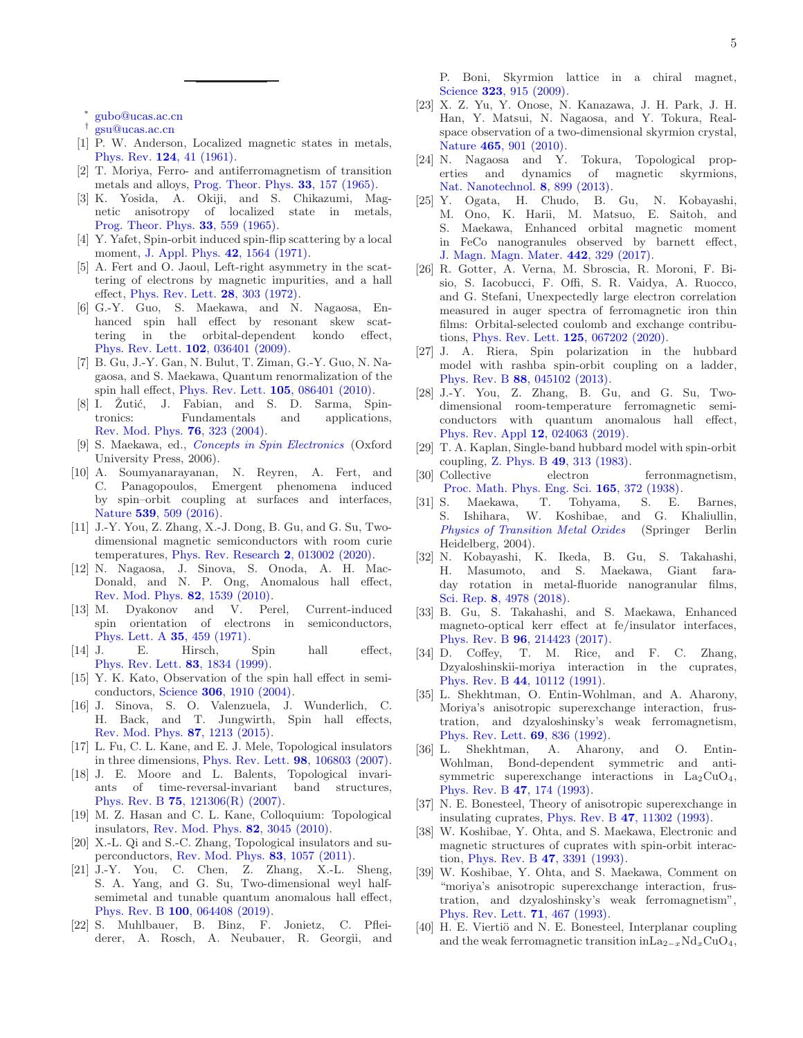∗ [gubo@ucas.ac.cn](mailto:gubo@ucas.ac.cn)

- <span id="page-4-1"></span><span id="page-4-0"></span>† [gsu@ucas.ac.cn](mailto:gsu@ucas.ac.cn)
- <span id="page-4-2"></span>[1] P. W. Anderson, Localized magnetic states in metals, Phys. Rev. 124[, 41 \(1961\).](https://doi.org/10.1103/physrev.124.41)
- <span id="page-4-3"></span>[2] T. Moriya, Ferro- and antiferromagnetism of transition metals and alloys, [Prog. Theor. Phys.](https://doi.org/10.1143/ptp.33.157) 33, 157 (1965).
- <span id="page-4-4"></span>[3] K. Yosida, A. Okiji, and S. Chikazumi, Magnetic anisotropy of localized state in metals, [Prog. Theor. Phys.](https://doi.org/10.1143/ptp.33.559) 33, 559 (1965).
- <span id="page-4-5"></span>[4] Y. Yafet, Spin-orbit induced spin-flip scattering by a local moment, [J. Appl. Phys.](https://doi.org/10.1063/1.1660345) 42, 1564 (1971).
- <span id="page-4-6"></span>[5] A. Fert and O. Jaoul, Left-right asymmetry in the scattering of electrons by magnetic impurities, and a hall effect, [Phys. Rev. Lett.](https://doi.org/10.1103/physrevlett.28.303) 28, 303 (1972).
- <span id="page-4-7"></span>[6] G.-Y. Guo, S. Maekawa, and N. Nagaosa, Enhanced spin hall effect by resonant skew scattering in the orbital-dependent kondo effect, [Phys. Rev. Lett.](https://doi.org/10.1103/physrevlett.102.036401) 102, 036401 (2009).
- <span id="page-4-8"></span>[7] B. Gu, J.-Y. Gan, N. Bulut, T. Ziman, G.-Y. Guo, N. Nagaosa, and S. Maekawa, Quantum renormalization of the spin hall effect, [Phys. Rev. Lett.](https://doi.org/10.1103/physrevlett.105.086401) 105, 086401 (2010).
- <span id="page-4-9"></span>[8] I. Zutić, J. Fabian, and S. D. Sarma, Spintronics: Fundamentals and applications, [Rev. Mod. Phys.](https://doi.org/10.1103/revmodphys.76.323) 76, 323 (2004).
- <span id="page-4-10"></span>[9] S. Maekawa, ed., [Concepts in Spin Electronics](https://doi.org/10.1093/acprof:oso/9780198568216.001.0001) (Oxford University Press, 2006).
- <span id="page-4-11"></span>[10] A. Soumyanarayanan, N. Reyren, A. Fert, and C. Panagopoulos, Emergent phenomena induced by spin–orbit coupling at surfaces and interfaces, Nature 539[, 509 \(2016\).](https://doi.org/10.1038/nature19820)
- <span id="page-4-12"></span>[11] J.-Y. You, Z. Zhang, X.-J. Dong, B. Gu, and G. Su, Twodimensional magnetic semiconductors with room curie temperatures, [Phys. Rev. Research](https://doi.org/10.1103/physrevresearch.2.013002) 2, 013002 (2020).
- <span id="page-4-13"></span>[12] N. Nagaosa, J. Sinova, S. Onoda, A. H. Mac-Donald, and N. P. Ong, Anomalous hall effect, [Rev. Mod. Phys.](https://doi.org/10.1103/revmodphys.82.1539) 82, 1539 (2010).
- <span id="page-4-14"></span>[13] M. Dyakonov and V. Perel, Current-induced spin orientation of electrons in semiconductors, [Phys. Lett. A](https://doi.org/10.1016/0375-9601(71)90196-4) 35, 459 (1971).
- [14] J. E. Hirsch, Spin hall effect, [Phys. Rev. Lett.](https://doi.org/10.1103/physrevlett.83.1834) 83, 1834 (1999).
- [15] Y. K. Kato, Observation of the spin hall effect in semiconductors, Science 306[, 1910 \(2004\).](https://doi.org/10.1126/science.1105514)
- <span id="page-4-15"></span>[16] J. Sinova, S. O. Valenzuela, J. Wunderlich, C. H. Back, and T. Jungwirth, Spin hall effects, [Rev. Mod. Phys.](https://doi.org/10.1103/revmodphys.87.1213) 87, 1213 (2015).
- <span id="page-4-16"></span>[17] L. Fu, C. L. Kane, and E. J. Mele, Topological insulators in three dimensions, [Phys. Rev. Lett.](https://doi.org/10.1103/physrevlett.98.106803) 98, 106803 (2007).
- [18] J. E. Moore and L. Balents, Topological invariants of time-reversal-invariant band structures, Phys. Rev. B 75[, 121306\(R\) \(2007\).](https://doi.org/10.1103/physrevb.75.121306)
- [19] M. Z. Hasan and C. L. Kane, Colloquium: Topological insulators, [Rev. Mod. Phys.](https://doi.org/10.1103/revmodphys.82.3045) 82, 3045 (2010).
- [20] X.-L. Qi and S.-C. Zhang, Topological insulators and superconductors, [Rev. Mod. Phys.](https://doi.org/10.1103/revmodphys.83.1057) 83, 1057 (2011).
- <span id="page-4-17"></span>[21] J.-Y. You, C. Chen, Z. Zhang, X.-L. Sheng, S. A. Yang, and G. Su, Two-dimensional weyl halfsemimetal and tunable quantum anomalous hall effect, Phys. Rev. B 100[, 064408 \(2019\).](https://doi.org/10.1103/physrevb.100.064408)
- <span id="page-4-18"></span>[22] S. Muhlbauer, B. Binz, F. Jonietz, C. Pfleiderer, A. Rosch, A. Neubauer, R. Georgii, and

P. Boni, Skyrmion lattice in a chiral magnet, Science **323**[, 915 \(2009\).](https://doi.org/10.1126/science.1166767)

- [23] X. Z. Yu, Y. Onose, N. Kanazawa, J. H. Park, J. H. Han, Y. Matsui, N. Nagaosa, and Y. Tokura, Realspace observation of a two-dimensional skyrmion crystal, Nature 465[, 901 \(2010\).](https://doi.org/10.1038/nature09124)
- <span id="page-4-19"></span>[24] N. Nagaosa and Y. Tokura, Topological properties and dynamics of magnetic skyrmions, [Nat. Nanotechnol.](https://doi.org/10.1038/nnano.2013.243) 8, 899 (2013).
- <span id="page-4-20"></span>[25] Y. Ogata, H. Chudo, B. Gu, N. Kobayashi, M. Ono, K. Harii, M. Matsuo, E. Saitoh, and S. Maekawa, Enhanced orbital magnetic moment in FeCo nanogranules observed by barnett effect, [J. Magn. Magn. Mater.](https://doi.org/10.1016/j.jmmm.2017.06.101) 442, 329 (2017).
- <span id="page-4-21"></span>[26] R. Gotter, A. Verna, M. Sbroscia, R. Moroni, F. Bisio, S. Iacobucci, F. Offi, S. R. Vaidya, A. Ruocco, and G. Stefani, Unexpectedly large electron correlation measured in auger spectra of ferromagnetic iron thin films: Orbital-selected coulomb and exchange contributions, [Phys. Rev. Lett.](https://doi.org/10.1103/physrevlett.125.067202) 125, 067202 (2020).
- <span id="page-4-22"></span>[27] J. A. Riera, Spin polarization in the hubbard model with rashba spin-orbit coupling on a ladder, Phys. Rev. B 88[, 045102 \(2013\).](https://doi.org/10.1103/physrevb.88.045102)
- <span id="page-4-23"></span>[28] J.-Y. You, Z. Zhang, B. Gu, and G. Su, Twodimensional room-temperature ferromagnetic semiconductors with quantum anomalous hall effect, [Phys. Rev. Appl](https://doi.org/10.1103/physrevapplied.12.024063) 12, 024063 (2019).
- <span id="page-4-24"></span>[29] T. A. Kaplan, Single-band hubbard model with spin-orbit coupling, Z. Phys. B  $49, 313$  (1983).<br>Collective electron
- <span id="page-4-25"></span>[30] Collective electron ferronmagnetism, [Proc. Math. Phys. Eng. Sci.](https://doi.org/10.1098/rspa.1938.0066) 165, 372 (1938).
- <span id="page-4-26"></span>[31] S. Maekawa, T. Tohyama, S. E. Barnes, S. Ishihara, W. Koshibae, and G. Khaliullin, [Physics of Transition Metal Oxides](https://doi.org/10.1007/978-3-662-09298-9) (Springer Berlin Heidelberg, 2004).
- <span id="page-4-27"></span>[32] N. Kobayashi, K. Ikeda, B. Gu, S. Takahashi, H. Masumoto, and S. Maekawa, Giant faraday rotation in metal-fluoride nanogranular films, Sci. Rep. 8[, 4978 \(2018\).](https://doi.org/10.1038/s41598-018-23128-5)
- <span id="page-4-28"></span>[33] B. Gu, S. Takahashi, and S. Maekawa, Enhanced magneto-optical kerr effect at fe/insulator interfaces, Phys. Rev. B 96[, 214423 \(2017\).](https://doi.org/10.1103/physrevb.96.214423)
- <span id="page-4-29"></span>[34] D. Coffey, T. M. Rice, and F. C. Zhang, Dzyaloshinskii-moriya interaction in the cuprates, Phys. Rev. B 44[, 10112 \(1991\).](https://doi.org/10.1103/physrevb.44.10112)
- [35] L. Shekhtman, O. Entin-Wohlman, and A. Aharony, Moriya's anisotropic superexchange interaction, frustration, and dzyaloshinsky's weak ferromagnetism, [Phys. Rev. Lett.](https://doi.org/10.1103/physrevlett.69.836) 69, 836 (1992).
- [36] L. Shekhtman, A. Aharony, and O. Entin-Wohlman, Bond-dependent symmetric and antisymmetric superexchange interactions in  $La_2CuO_4$ , [Phys. Rev. B](https://doi.org/10.1103/physrevb.47.174) 47, 174 (1993).
- [37] N. E. Bonesteel, Theory of anisotropic superexchange in insulating cuprates, Phys. Rev. B 47[, 11302 \(1993\).](https://doi.org/10.1103/physrevb.47.11302)
- [38] W. Koshibae, Y. Ohta, and S. Maekawa, Electronic and magnetic structures of cuprates with spin-orbit interaction, Phys. Rev. B 47[, 3391 \(1993\).](https://doi.org/10.1103/physrevb.47.3391)
- [39] W. Koshibae, Y. Ohta, and S. Maekawa, Comment on "moriya's anisotropic superexchange interaction, frustration, and dzyaloshinsky's weak ferromagnetism", [Phys. Rev. Lett.](https://doi.org/10.1103/physrevlett.71.467) 71, 467 (1993).
- [40] H. E. Viertiö and N. E. Bonesteel, Interplanar coupling and the weak ferromagnetic transition in $\text{La}_{2-x}\text{Nd}_x\text{CuO}_4$ ,